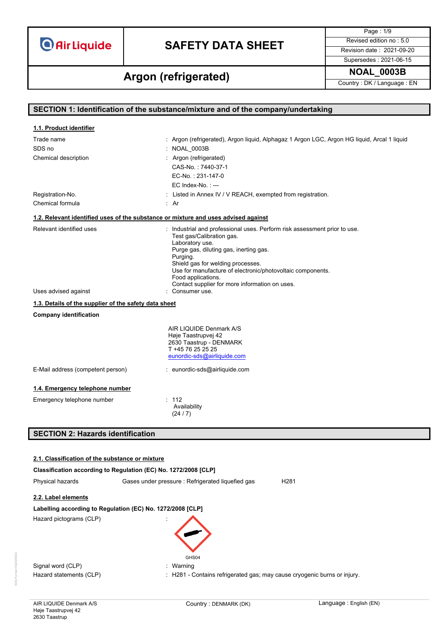# **SAFETY DATA SHEET** Revised edition no : 5.0

Page : 1/9 Supersedes : 2021-06-15

**NOAL\_0003B Argon (refrigerated)**

Country : DK / Language : EN

| SECTION 1: Identification of the substance/mixture and of the company/undertaking |                                                                                                 |  |
|-----------------------------------------------------------------------------------|-------------------------------------------------------------------------------------------------|--|
|                                                                                   |                                                                                                 |  |
| 1.1. Product identifier                                                           |                                                                                                 |  |
| Trade name<br>SDS no                                                              | : Argon (refrigerated), Argon liquid, Alphagaz 1 Argon LGC, Argon HG liquid, Arcal 1 liquid     |  |
|                                                                                   | : NOAL_0003B                                                                                    |  |
| Chemical description                                                              | : Argon (refrigerated)                                                                          |  |
|                                                                                   | CAS-No.: 7440-37-1                                                                              |  |
|                                                                                   | EC-No.: 231-147-0<br>$EC$ Index-No.: $--$                                                       |  |
|                                                                                   |                                                                                                 |  |
| Registration-No.<br>Chemical formula                                              | : Listed in Annex IV / V REACH, exempted from registration.<br>: Ar                             |  |
|                                                                                   |                                                                                                 |  |
|                                                                                   | 1.2. Relevant identified uses of the substance or mixture and uses advised against              |  |
| Relevant identified uses                                                          | : Industrial and professional uses. Perform risk assessment prior to use.                       |  |
|                                                                                   | Test gas/Calibration gas.<br>Laboratory use.                                                    |  |
|                                                                                   | Purge gas, diluting gas, inerting gas.                                                          |  |
|                                                                                   | Purging.                                                                                        |  |
|                                                                                   | Shield gas for welding processes.<br>Use for manufacture of electronic/photovoltaic components. |  |
|                                                                                   | Food applications.                                                                              |  |
| Uses advised against                                                              | Contact supplier for more information on uses.<br>: Consumer use.                               |  |
|                                                                                   |                                                                                                 |  |
| 1.3. Details of the supplier of the safety data sheet                             |                                                                                                 |  |
| <b>Company identification</b>                                                     |                                                                                                 |  |
|                                                                                   | AIR LIQUIDE Denmark A/S                                                                         |  |
|                                                                                   | Høje Taastrupvej 42<br>2630 Taastrup - DENMARK                                                  |  |
|                                                                                   | T +45 76 25 25 25                                                                               |  |
|                                                                                   | eunordic-sds@airliquide.com                                                                     |  |
| E-Mail address (competent person)                                                 | : eunordic-sds@airliquide.com                                                                   |  |
| 1.4. Emergency telephone number                                                   |                                                                                                 |  |
| Emergency telephone number                                                        | : 112                                                                                           |  |
|                                                                                   | Availability                                                                                    |  |
|                                                                                   | (24/7)                                                                                          |  |
|                                                                                   |                                                                                                 |  |
| <b>SECTION 2: Hazards identification</b>                                          |                                                                                                 |  |
|                                                                                   |                                                                                                 |  |
| 2.1. Classification of the substance or mixture                                   |                                                                                                 |  |
| Classification according to Regulation (EC) No. 1272/2008 [CLP]                   |                                                                                                 |  |
| Physical hazards                                                                  | Gases under pressure : Refrigerated liquefied gas<br>H <sub>281</sub>                           |  |
| 2.2. Label elements                                                               |                                                                                                 |  |
| Labelling according to Regulation (EC) No. 1272/2008 [CLP]                        |                                                                                                 |  |
| Hazard pictograms (CLP)                                                           |                                                                                                 |  |
|                                                                                   |                                                                                                 |  |
|                                                                                   |                                                                                                 |  |
|                                                                                   |                                                                                                 |  |
|                                                                                   | GHS04                                                                                           |  |
| Signal word (CLP)                                                                 | : Warning                                                                                       |  |
| Hazard statements (CLP)                                                           | : H281 - Contains refrigerated gas; may cause cryogenic burns or injury.                        |  |
|                                                                                   |                                                                                                 |  |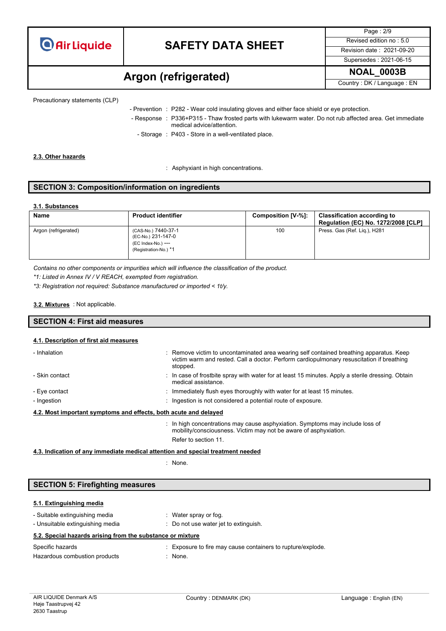

Page : 2/9 Supersedes : 2021-06-15

### **NOAL\_0003B Argon (refrigerated)**

Country : DK / Language : EN

Precautionary statements (CLP)

- Prevention : P282 Wear cold insulating gloves and either face shield or eye protection.
- Response : P336+P315 Thaw frosted parts with lukewarm water. Do not rub affected area. Get immediate medical advice/attention.
	- Storage : P403 Store in a well-ventilated place.

### **2.3. Other hazards**

: Asphyxiant in high concentrations.

### **SECTION 3: Composition/information on ingredients**

#### **3.1. Substances**

| <b>Name</b>          | <b>Product identifier</b>                                                                | Composition [V-%]: | <b>Classification according to</b><br><b>Regulation (EC) No. 1272/2008 [CLP]</b> |
|----------------------|------------------------------------------------------------------------------------------|--------------------|----------------------------------------------------------------------------------|
| Argon (refrigerated) | (CAS-No.) 7440-37-1<br>(EC-No.) 231-147-0<br>(EC Index-No.) ---<br>(Registration-No.) *1 | 100                | Press. Gas (Ref. Lig.), H281                                                     |

*Contains no other components or impurities which will influence the classification of the product.*

*\*1: Listed in Annex IV / V REACH, exempted from registration.*

*\*3: Registration not required: Substance manufactured or imported < 1t/y.*

#### : Not applicable. **3.2. Mixtures**

| <b>SECTION</b><br>4: First aid measures |  |
|-----------------------------------------|--|
|                                         |  |

### **4.1. Description of first aid measures**

| - Inhalation                                                     | : Remove victim to uncontaminated area wearing self contained breathing apparatus. Keep<br>victim warm and rested. Call a doctor. Perform cardiopulmonary resuscitation if breathing<br>stopped. |
|------------------------------------------------------------------|--------------------------------------------------------------------------------------------------------------------------------------------------------------------------------------------------|
| - Skin contact                                                   | : In case of frostbite spray with water for at least 15 minutes. Apply a sterile dressing. Obtain<br>medical assistance.                                                                         |
| - Eye contact                                                    | $\therefore$ Immediately flush eyes thoroughly with water for at least 15 minutes.                                                                                                               |
| - Ingestion                                                      | : Ingestion is not considered a potential route of exposure.                                                                                                                                     |
| 4.2. Most important symptoms and effects, both acute and delayed |                                                                                                                                                                                                  |

: In high concentrations may cause asphyxiation. Symptoms may include loss of mobility/consciousness. Victim may not be aware of asphyxiation. Refer to section 11.

#### **4.3. Indication of any immediate medical attention and special treatment needed**

: None.

| <b>SECTION 5: Firefighting measures</b>                    |                                                            |  |
|------------------------------------------------------------|------------------------------------------------------------|--|
|                                                            |                                                            |  |
| 5.1. Extinguishing media                                   |                                                            |  |
| - Suitable extinguishing media                             | : Water spray or fog.                                      |  |
| - Unsuitable extinguishing media                           | : Do not use water jet to extinguish.                      |  |
| 5.2. Special hazards arising from the substance or mixture |                                                            |  |
| Spocific hozarde                                           | Experience to fire may cause containers to runturoloxplade |  |

| Specific hazards              | Exposure to fire may cause containers to rupture/explode. |
|-------------------------------|-----------------------------------------------------------|
| Hazardous combustion products | None.                                                     |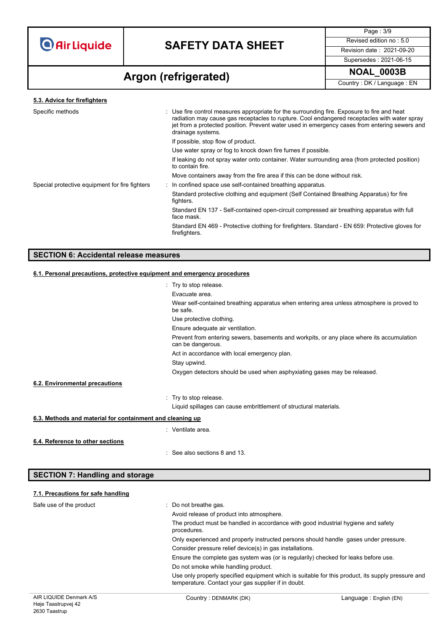

Page : 3/9 Supersedes : 2021-06-15

### **NOAL\_0003B Argon (refrigerated)**

Country : DK / Language : EN

#### **5.3. Advice for firefighters**

| Specific methods                               | : Use fire control measures appropriate for the surrounding fire. Exposure to fire and heat<br>radiation may cause gas receptacles to rupture. Cool endangered receptacles with water spray<br>jet from a protected position. Prevent water used in emergency cases from entering sewers and<br>drainage systems. |
|------------------------------------------------|-------------------------------------------------------------------------------------------------------------------------------------------------------------------------------------------------------------------------------------------------------------------------------------------------------------------|
|                                                | If possible, stop flow of product.                                                                                                                                                                                                                                                                                |
|                                                | Use water spray or fog to knock down fire fumes if possible.                                                                                                                                                                                                                                                      |
|                                                | If leaking do not spray water onto container. Water surrounding area (from protected position)<br>to contain fire.                                                                                                                                                                                                |
|                                                | Move containers away from the fire area if this can be done without risk.                                                                                                                                                                                                                                         |
| Special protective equipment for fire fighters | : In confined space use self-contained breathing apparatus.                                                                                                                                                                                                                                                       |
|                                                | Standard protective clothing and equipment (Self Contained Breathing Apparatus) for fire<br>fighters.                                                                                                                                                                                                             |
|                                                | Standard EN 137 - Self-contained open-circuit compressed air breathing apparatus with full<br>face mask.                                                                                                                                                                                                          |
|                                                | Standard EN 469 - Protective clothing for firefighters. Standard - EN 659: Protective gloves for<br>firefighters.                                                                                                                                                                                                 |
|                                                |                                                                                                                                                                                                                                                                                                                   |

#### **SECTION 6: Accidental release measures**

### **6.1. Personal precautions, protective equipment and emergency procedures** : Try to stop release. Evacuate area. Wear self-contained breathing apparatus when entering area unless atmosphere is proved to be safe. Use protective clothing. Ensure adequate air ventilation. Prevent from entering sewers, basements and workpits, or any place where its accumulation can be dangerous. Act in accordance with local emergency plan. Stay upwind. Oxygen detectors should be used when asphyxiating gases may be released. : Try to stop release. **6.2. Environmental precautions**

Liquid spillages can cause embrittlement of structural materials.

#### **6.3. Methods and material for containment and cleaning up**

**SECTION 7: Handling and storage**

|                                  | : Ventilate area.                        |
|----------------------------------|------------------------------------------|
| 6.4. Reference to other sections |                                          |
|                                  | $\therefore$ See also sections 8 and 13. |
|                                  |                                          |

### AIR LIQUIDE Denmark A/S Country : DENMARK (DK) Country : DENMARK (DK) **7.1. Precautions for safe handling** Safe use of the product : Do not breathe gas. Avoid release of product into atmosphere. The product must be handled in accordance with good industrial hygiene and safety procedures. Only experienced and properly instructed persons should handle gases under pressure. Consider pressure relief device(s) in gas installations. Ensure the complete gas system was (or is regularily) checked for leaks before use. Do not smoke while handling product. Use only properly specified equipment which is suitable for this product, its supply pressure and temperature. Contact your gas supplier if in doubt.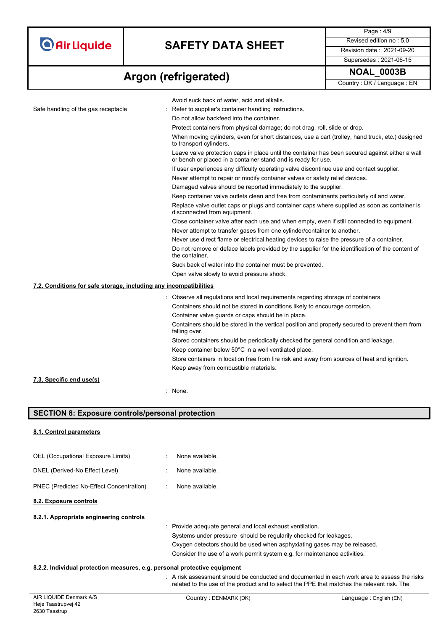# **SAFETY DATA SHEET** Revised edition no : 5.0

**NOAL\_0003B Argon (refrigerated)**

Page : 4/9 Supersedes : 2021-06-15

Country : DK / Language : EN

| Safe handling of the gas receptacle                               | Avoid suck back of water, acid and alkalis.                                                                                                                      |
|-------------------------------------------------------------------|------------------------------------------------------------------------------------------------------------------------------------------------------------------|
|                                                                   | Refer to supplier's container handling instructions.<br>Do not allow backfeed into the container.                                                                |
|                                                                   | Protect containers from physical damage; do not drag, roll, slide or drop.                                                                                       |
|                                                                   | When moving cylinders, even for short distances, use a cart (trolley, hand truck, etc.) designed                                                                 |
|                                                                   | to transport cylinders.                                                                                                                                          |
|                                                                   | Leave valve protection caps in place until the container has been secured against either a wall<br>or bench or placed in a container stand and is ready for use. |
|                                                                   | If user experiences any difficulty operating valve discontinue use and contact supplier.                                                                         |
|                                                                   | Never attempt to repair or modify container valves or safety relief devices.                                                                                     |
|                                                                   | Damaged valves should be reported immediately to the supplier.                                                                                                   |
|                                                                   | Keep container valve outlets clean and free from contaminants particularly oil and water.                                                                        |
|                                                                   | Replace valve outlet caps or plugs and container caps where supplied as soon as container is<br>disconnected from equipment.                                     |
|                                                                   | Close container valve after each use and when empty, even if still connected to equipment.                                                                       |
|                                                                   | Never attempt to transfer gases from one cylinder/container to another.                                                                                          |
|                                                                   | Never use direct flame or electrical heating devices to raise the pressure of a container.                                                                       |
|                                                                   | Do not remove or deface labels provided by the supplier for the identification of the content of<br>the container.                                               |
|                                                                   | Suck back of water into the container must be prevented.                                                                                                         |
|                                                                   | Open valve slowly to avoid pressure shock.                                                                                                                       |
| 7.2. Conditions for safe storage, including any incompatibilities |                                                                                                                                                                  |
|                                                                   | : Observe all regulations and local requirements regarding storage of containers.                                                                                |
|                                                                   | Containers should not be stored in conditions likely to encourage corrosion.                                                                                     |
|                                                                   | Container valve guards or caps should be in place.                                                                                                               |
|                                                                   | Containers should be stored in the vertical position and properly secured to prevent them from<br>falling over.                                                  |
|                                                                   | Stored containers should be periodically checked for general condition and leakage.                                                                              |
|                                                                   | Keep container below 50°C in a well ventilated place.                                                                                                            |
|                                                                   | Store containers in location free from fire risk and away from sources of heat and ignition.                                                                     |
|                                                                   | Keep away from combustible materials.                                                                                                                            |
| 7.3. Specific end use(s)                                          |                                                                                                                                                                  |
|                                                                   | : None.                                                                                                                                                          |
|                                                                   |                                                                                                                                                                  |
| <b>SECTION 8: Exposure controls/personal protection</b>           |                                                                                                                                                                  |
| 8.1. Control parameters                                           |                                                                                                                                                                  |
| OEL (Occupational Exposure Limits)                                | None available.                                                                                                                                                  |
| DNEL (Derived-No Effect Level)                                    | None available.                                                                                                                                                  |
| PNEC (Predicted No-Effect Concentration)                          | None available.                                                                                                                                                  |
| 8.2. Exposure controls                                            |                                                                                                                                                                  |
| 8.2.1. Appropriate engineering controls                           |                                                                                                                                                                  |
|                                                                   | Provide adequate general and local exhaust ventilation.                                                                                                          |
|                                                                   | Systems under pressure should be regularily checked for leakages.                                                                                                |
|                                                                   | Oxygen detectors should be used when asphyxiating gases may be released.                                                                                         |
|                                                                   | Consider the use of a work permit system e.g. for maintenance activities.                                                                                        |

### **8.2.2. Individual protection measures, e.g. personal protective equipment**

: A risk assessment should be conducted and documented in each work area to assess the risks related to the use of the product and to select the PPE that matches the relevant risk. The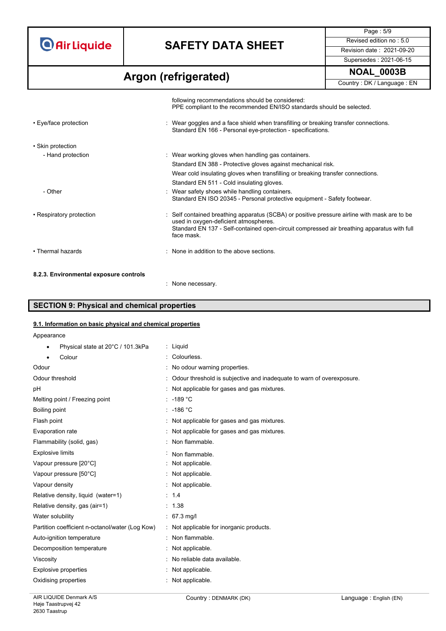# **SAFETY DATA SHEET** Revised edition no : 5.0

**NOAL\_0003B Argon (refrigerated)**

Page : 5/9 Supersedes : 2021-06-15

Country : DK / Language : EN

|                                        | following recommendations should be considered:<br>PPE compliant to the recommended EN/ISO standards should be selected.                            |
|----------------------------------------|-----------------------------------------------------------------------------------------------------------------------------------------------------|
| • Eye/face protection                  | : Wear goggles and a face shield when transfilling or breaking transfer connections.<br>Standard EN 166 - Personal eye-protection - specifications. |
| • Skin protection                      |                                                                                                                                                     |
| - Hand protection                      | : Wear working gloves when handling gas containers.                                                                                                 |
|                                        | Standard EN 388 - Protective gloves against mechanical risk.                                                                                        |
|                                        | Wear cold insulating gloves when transfilling or breaking transfer connections.                                                                     |
|                                        | Standard EN 511 - Cold insulating gloves.                                                                                                           |
| - Other                                | : Wear safety shoes while handling containers.<br>Standard EN ISO 20345 - Personal protective equipment - Safety footwear.                          |
| • Respiratory protection               | : Self contained breathing apparatus (SCBA) or positive pressure airline with mask are to be<br>used in oxygen-deficient atmospheres.               |
|                                        | Standard EN 137 - Self-contained open-circuit compressed air breathing apparatus with full<br>face mask.                                            |
| • Thermal hazards                      | : None in addition to the above sections.                                                                                                           |
| 8.2.3. Environmental exposure controls |                                                                                                                                                     |

### **SECTION 9: Physical and chemical properties**

### **9.1. Information on basic physical and chemical properties**

| Physical state at 20°C / 101.3kPa               | : Liguid                                                                |
|-------------------------------------------------|-------------------------------------------------------------------------|
| Colour                                          | : Colourless.                                                           |
| Odour                                           | No odour warning properties.                                            |
| Odour threshold                                 | : Odour threshold is subjective and inadequate to warn of overexposure. |
| рH                                              | : Not applicable for gases and gas mixtures.                            |
| Melting point / Freezing point                  | $: -189 °C$                                                             |
| Boiling point                                   | $: -186 °C$                                                             |
| Flash point                                     | : Not applicable for gases and gas mixtures.                            |
| Evaporation rate                                | Not applicable for gases and gas mixtures.                              |
| Flammability (solid, gas)                       | Non flammable.                                                          |
| <b>Explosive limits</b>                         | Non flammable.                                                          |
| Vapour pressure [20°C]                          | Not applicable.                                                         |
| Vapour pressure [50°C]                          | Not applicable.                                                         |
| Vapour density                                  | Not applicable.                                                         |
| Relative density, liquid (water=1)              | : 1.4                                                                   |
| Relative density, gas (air=1)                   | : 1.38                                                                  |
| Water solubility                                | : $67.3 \text{ mg/l}$                                                   |
| Partition coefficient n-octanol/water (Log Kow) | Not applicable for inorganic products.                                  |
| Auto-ignition temperature                       | Non flammable.                                                          |
| Decomposition temperature                       | Not applicable.                                                         |
| Viscosity                                       | No reliable data available.                                             |
| Explosive properties                            | Not applicable.                                                         |
| Oxidising properties                            | Not applicable.                                                         |
|                                                 |                                                                         |

: None necessary.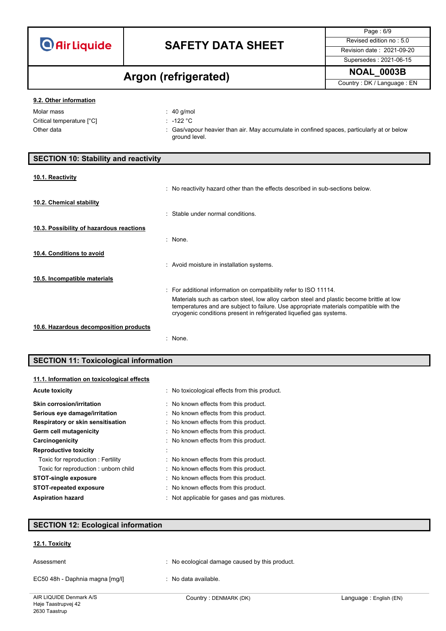Page : 6/9 Supersedes : 2021-06-15

# **NOAL\_0003B Argon (refrigerated)**

Country : DK / Language : EN

### **9.2. Other information**

| Molar mass                | : 40 a/mol                                                                                                  |
|---------------------------|-------------------------------------------------------------------------------------------------------------|
| Critical temperature [°C] | $\cdot$ -122 °C.                                                                                            |
| Other data                | : Gas/vapour heavier than air. May accumulate in confined spaces, particularly at or below<br>ground level. |

| <b>SECTION 10: Stability and reactivity</b> |                                                                                                                                                                                                                                                                                                                                |
|---------------------------------------------|--------------------------------------------------------------------------------------------------------------------------------------------------------------------------------------------------------------------------------------------------------------------------------------------------------------------------------|
| 10.1. Reactivity                            |                                                                                                                                                                                                                                                                                                                                |
| 10.2. Chemical stability                    | : No reactivity hazard other than the effects described in sub-sections below.                                                                                                                                                                                                                                                 |
| 10.3. Possibility of hazardous reactions    | Stable under normal conditions                                                                                                                                                                                                                                                                                                 |
|                                             | : None.                                                                                                                                                                                                                                                                                                                        |
| 10.4. Conditions to avoid                   | : Avoid moisture in installation systems.                                                                                                                                                                                                                                                                                      |
| 10.5. Incompatible materials                |                                                                                                                                                                                                                                                                                                                                |
|                                             | : For additional information on compatibility refer to ISO 11114.<br>Materials such as carbon steel, low alloy carbon steel and plastic become brittle at low<br>temperatures and are subject to failure. Use appropriate materials compatible with the<br>cryogenic conditions present in refrigerated liquefied gas systems. |
| 10.6. Hazardous decomposition products      |                                                                                                                                                                                                                                                                                                                                |
|                                             | None.                                                                                                                                                                                                                                                                                                                          |

### **SECTION 11: Toxicological information**

### **11.1. Information on toxicological effects**

| <b>Acute toxicity</b>                | : No toxicological effects from this product. |  |
|--------------------------------------|-----------------------------------------------|--|
| <b>Skin corrosion/irritation</b>     | : No known effects from this product.         |  |
| Serious eye damage/irritation        | : No known effects from this product.         |  |
| Respiratory or skin sensitisation    | : No known effects from this product.         |  |
| Germ cell mutagenicity               | : No known effects from this product.         |  |
| Carcinogenicity                      | : No known effects from this product.         |  |
| <b>Reproductive toxicity</b>         |                                               |  |
| Toxic for reproduction : Fertility   | : No known effects from this product.         |  |
| Toxic for reproduction: unborn child | : No known effects from this product.         |  |
| <b>STOT-single exposure</b>          | : No known effects from this product.         |  |
| <b>STOT-repeated exposure</b>        | : No known effects from this product.         |  |
| <b>Aspiration hazard</b>             | : Not applicable for gases and gas mixtures.  |  |

### **SECTION 12: Ecological information**

### **12.1. Toxicity**

| Assessment                      | No ecological damage caused by this product. |
|---------------------------------|----------------------------------------------|
| EC50 48h - Daphnia magna [mg/l] | : No data available.                         |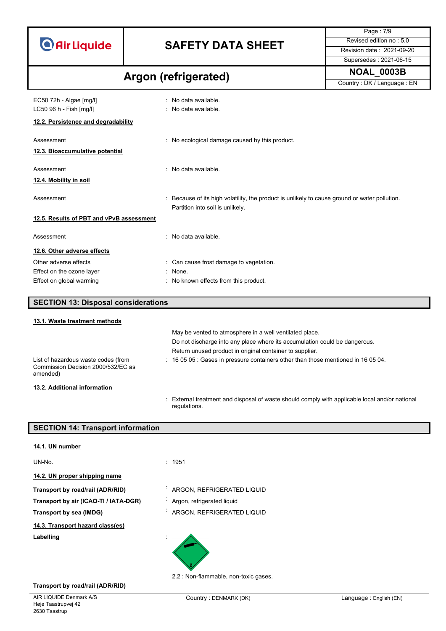# **SAFETY DATA SHEET** Revised edition no : 5.0

Supersedes : 2021-06-15

Page : 7/9

### **NOAL\_0003B Argon (refrigerated)**

| ALYVII JIVIIIYVIULVU                     |                                                                                             | Country: DK / Language: EN |
|------------------------------------------|---------------------------------------------------------------------------------------------|----------------------------|
| EC50 72h - Algae [mg/l]                  | No data available.                                                                          |                            |
| LC50 96 h - Fish [mg/l]                  | : No data available.                                                                        |                            |
| 12.2. Persistence and degradability      |                                                                                             |                            |
| Assessment                               | : No ecological damage caused by this product.                                              |                            |
| 12.3. Bioaccumulative potential          |                                                                                             |                            |
| Assessment                               | No data available.                                                                          |                            |
| 12.4. Mobility in soil                   |                                                                                             |                            |
| Assessment                               | Because of its high volatility, the product is unlikely to cause ground or water pollution. |                            |
|                                          | Partition into soil is unlikely.                                                            |                            |
| 12.5. Results of PBT and vPvB assessment |                                                                                             |                            |
| Assessment                               | No data available.<br>$\bullet$                                                             |                            |
| 12.6. Other adverse effects              |                                                                                             |                            |
| Other adverse effects                    | : Can cause frost damage to vegetation.                                                     |                            |
| Effect on the ozone layer                | $:$ None.                                                                                   |                            |
| Effect on global warming                 | No known effects from this product.                                                         |                            |

| <b>SECTION 13: Disposal considerations</b> |                                                                                   |
|--------------------------------------------|-----------------------------------------------------------------------------------|
|                                            |                                                                                   |
| 13.1. Waste treatment methods              |                                                                                   |
|                                            | May be vented to atmosphere in a well ventilated place.                           |
|                                            | Do not discharge into any place where its accumulation could be dangerous.        |
|                                            | Return unused product in original container to supplier.                          |
| List of hazardous waste codes (from        | : 16 05 05 : Gases in pressure containers other than those mentioned in 16 05 04. |

### **13.2. Additional information**

amended)

Commission Decision 2000/532/EC as

: External treatment and disposal of waste should comply with applicable local and/or national regulations.

### **SECTION 14: Transport information**

| 14.1. UN number                       |                                       |
|---------------------------------------|---------------------------------------|
| UN-No.                                | : 1951                                |
| 14.2. UN proper shipping name         |                                       |
| Transport by road/rail (ADR/RID)      | ARGON, REFRIGERATED LIQUID            |
| Transport by air (ICAO-TI / IATA-DGR) | Argon, refrigerated liquid            |
| Transport by sea (IMDG)               | ARGON, REFRIGERATED LIQUID            |
| 14.3. Transport hazard class(es)      |                                       |
| Labelling                             |                                       |
|                                       | 2.2 : Non-flammable, non-toxic gases. |

### **Transport by road/rail (ADR/RID)**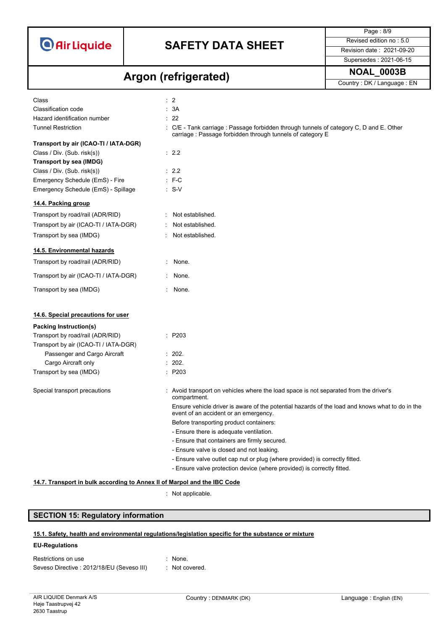

Page : 8/9

### **NOAL\_0003B Argon (refrigerated)**

Supersedes : 2021-06-15 Country : DK / Language : EN

| Class                                 | $\therefore$ 2                                                                                                                                        |
|---------------------------------------|-------------------------------------------------------------------------------------------------------------------------------------------------------|
| Classification code                   | : 3A                                                                                                                                                  |
| Hazard identification number          | : 22                                                                                                                                                  |
| <b>Tunnel Restriction</b>             | : C/E - Tank carriage : Passage forbidden through tunnels of category C, D and E. Other<br>carriage : Passage forbidden through tunnels of category E |
| Transport by air (ICAO-TI / IATA-DGR) |                                                                                                                                                       |
| Class / Div. (Sub. risk(s))           | $\therefore$ 2.2                                                                                                                                      |
| Transport by sea (IMDG)               |                                                                                                                                                       |
| Class / Div. (Sub. risk(s))           | $\therefore$ 2.2                                                                                                                                      |
| Emergency Schedule (EmS) - Fire       | $: F-C$                                                                                                                                               |
| Emergency Schedule (EmS) - Spillage   | $\cdot$ S-V                                                                                                                                           |
| 14.4. Packing group                   |                                                                                                                                                       |
| Transport by road/rail (ADR/RID)      | Not established.                                                                                                                                      |
| Transport by air (ICAO-TI / IATA-DGR) | Not established.<br>÷                                                                                                                                 |
| Transport by sea (IMDG)               | Not established.                                                                                                                                      |
| 14.5. Environmental hazards           |                                                                                                                                                       |
| Transport by road/rail (ADR/RID)      | ÷<br>None.                                                                                                                                            |
| Transport by air (ICAO-TI / IATA-DGR) | $:$ None.                                                                                                                                             |
| Transport by sea (IMDG)               | : None.                                                                                                                                               |
| 14.6. Special precautions for user    |                                                                                                                                                       |
| Packing Instruction(s)                |                                                                                                                                                       |
| Transport by road/rail (ADR/RID)      | : P203                                                                                                                                                |
| Transport by air (ICAO-TI / IATA-DGR) |                                                                                                                                                       |
| Passenger and Cargo Aircraft          | : 202.                                                                                                                                                |
| Cargo Aircraft only                   | : 202.                                                                                                                                                |
| Transport by sea (IMDG)               | : P203                                                                                                                                                |
|                                       |                                                                                                                                                       |
| Special transport precautions         | : Avoid transport on vehicles where the load space is not separated from the driver's<br>compartment.                                                 |
|                                       | Ensure vehicle driver is aware of the potential hazards of the load and knows what to do in the<br>event of an accident or an emergency.              |
|                                       | Before transporting product containers:                                                                                                               |
|                                       | - Ensure there is adequate ventilation.                                                                                                               |
|                                       | - Ensure that containers are firmly secured.                                                                                                          |
|                                       | - Ensure valve is closed and not leaking.                                                                                                             |
|                                       | - Ensure valve outlet cap nut or plug (where provided) is correctly fitted.                                                                           |

- Ensure valve protection device (where provided) is correctly fitted.

### **14.7. Transport in bulk according to Annex II of Marpol and the IBC Code**

: Not applicable.

### **SECTION 15: Regulatory information**

### **15.1. Safety, health and environmental regulations/legislation specific for the substance or mixture**

### **EU-Regulations**

| Restrictions on use                        | : None.        |
|--------------------------------------------|----------------|
| Seveso Directive : 2012/18/EU (Seveso III) | : Not covered. |